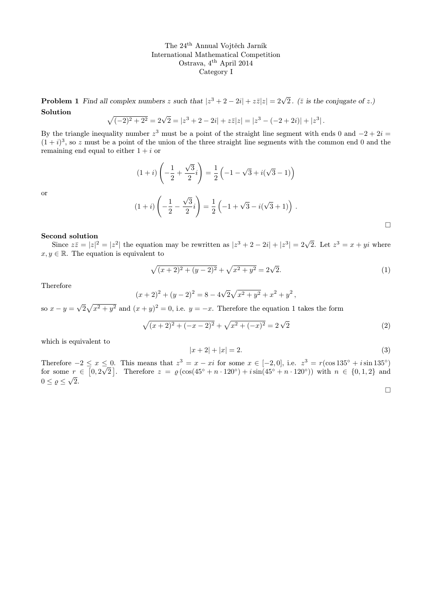**Problem 1** Find all complex numbers z such that  $|z^3 + 2 - 2i| + z\overline{z}|z| = 2\sqrt{2}$ . ( $\overline{z}$  is the conjugate of z.) Solution

$$
\sqrt{(-2)^2 + 2^2} = 2\sqrt{2} = |z^3 + 2 - 2i| + z\overline{z}|z| = |z^3 - (-2 + 2i)| + |z^3|.
$$

By the triangle inequality number  $z^3$  must be a point of the straight line segment with ends 0 and  $-2 + 2i =$  $(1+i)^3$ , so z must be a point of the union of the three straight line segments with the common end 0 and the remaining end equal to either  $1 + i$  or

$$
(1+i)\left(-\frac{1}{2} + \frac{\sqrt{3}}{2}i\right) = \frac{1}{2}\left(-1 - \sqrt{3} + i(\sqrt{3} - 1)\right)
$$

$$
(1+i)\left(-\frac{1}{2} - \frac{\sqrt{3}}{2}i\right) = \frac{1}{2}\left(-1 + \sqrt{3} - i(\sqrt{3} + 1)\right).
$$

## Second solution

Since  $z\overline{z} = |z|^2 = |z^2|$  the equation may be rewritten as  $|z^3 + 2 - 2i| + |z^3| = 2\sqrt{2}$ . Let  $z^3 = x + yi$  where  $x, y \in \mathbb{R}$ . The equation is equivalent to

$$
\sqrt{(x+2)^2 + (y-2)^2} + \sqrt{x^2 + y^2} = 2\sqrt{2}.
$$
\n(1)

Therefore

or

$$
(x+2)^{2} + (y-2)^{2} = 8 - 4\sqrt{2}\sqrt{x^{2} + y^{2}} + x^{2} + y^{2},
$$

so  $x - y =$ √  $\sqrt{2} \sqrt{x^2 + y^2}$  and  $(x + y)^2 = 0$ , i.e.  $y = -x$ . Therefore the equation 1 takes the form

$$
\sqrt{(x+2)^2 + (-x-2)^2} + \sqrt{x^2 + (-x)^2} = 2\sqrt{2}
$$
\n(2)

which is equivalent to

$$
|x+2| + |x| = 2.
$$
 (3)

Therefore  $-2 \le x \le 0$ . This means that  $z^3 = x - xi$  for some  $x \in [-2, 0]$ , i.e.  $z^3 = r(\cos 135^\circ + i \sin 135^\circ)$ for some  $r \in [0, 2\sqrt{2}]$ . Therefore  $z = \varrho (\cos(45^\circ + n \cdot 120^\circ) + i \sin(45^\circ + n \cdot 120^\circ))$  with  $n \in \{0, 1, 2\}$  and  $0 \leq \varrho \leq \sqrt{2}$ .

 $\Box$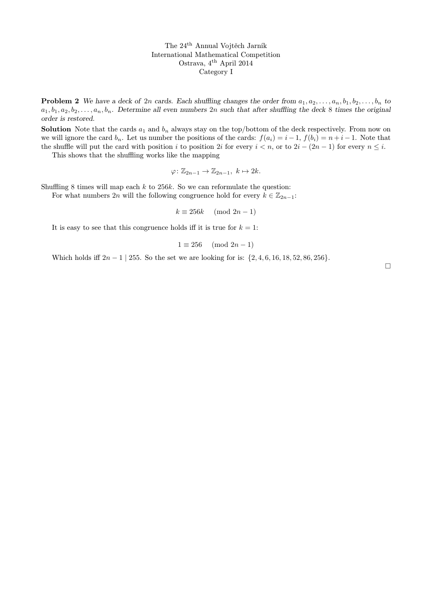**Problem 2** We have a deck of 2n cards. Each shuffling changes the order from  $a_1, a_2, \ldots, a_n, b_1, b_2, \ldots, b_n$  to  $a_1, b_1, a_2, b_2, \ldots, a_n, b_n$ . Determine all even numbers  $2n$  such that after shuffling the deck 8 times the original order is restored.

**Solution** Note that the cards  $a_1$  and  $b_n$  always stay on the top/bottom of the deck respectively. From now on we will ignore the card  $b_n$ . Let us number the positions of the cards:  $f(a_i) = i - 1$ ,  $f(b_i) = n + i - 1$ . Note that the shuffle will put the card with position i to position 2i for every  $i < n$ , or to  $2i - (2n - 1)$  for every  $n \leq i$ .

This shows that the shuffling works like the mapping

$$
\varphi \colon \mathbb{Z}_{2n-1} \to \mathbb{Z}_{2n-1}, \ k \mapsto 2k.
$$

Shuffling 8 times will map each  $k$  to 256 $k$ . So we can reformulate the question:

For what numbers 2n will the following congruence hold for every  $k \in \mathbb{Z}_{2n-1}$ :

$$
k \equiv 256k \pmod{2n-1}
$$

It is easy to see that this congruence holds iff it is true for  $k = 1$ :

$$
1 \equiv 256 \pmod{2n-1}
$$

Which holds iff  $2n - 1$  | 255. So the set we are looking for is:  $\{2, 4, 6, 16, 18, 52, 86, 256\}$ .

 $\Box$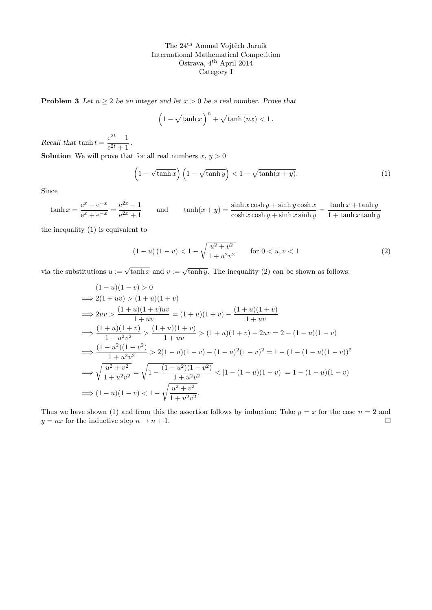**Problem 3** Let  $n \geq 2$  be an integer and let  $x > 0$  be a real number. Prove that

$$
\left(1 - \sqrt{\tanh x}\right)^n + \sqrt{\tanh(nx)} < 1.
$$

Recall that tanh  $t = \frac{e^{2t} - 1}{2t + 1}$  $\frac{c}{e^{2t}+1}$ . **Solution** We will prove that for all real numbers  $x, y > 0$ 

$$
\left(1 - \sqrt{\tanh x}\right)\left(1 - \sqrt{\tanh y}\right) < 1 - \sqrt{\tanh(x + y)}.\tag{1}
$$

Since

$$
\tanh x = \frac{e^x - e^{-x}}{e^x + e^{-x}} = \frac{e^{2x} - 1}{e^{2x} + 1}
$$
 and 
$$
\tanh(x + y) = \frac{\sinh x \cosh y + \sinh y \cosh x}{\cosh x \cosh y + \sinh x \sinh y} = \frac{\tanh x + \tanh y}{1 + \tanh x \tanh y}
$$

the inequality (1) is equivalent to

$$
(1 - u)(1 - v) < 1 - \sqrt{\frac{u^2 + v^2}{1 + u^2 v^2}} \qquad \text{for } 0 < u, v < 1
$$
 (2)

via the substitutions  $u := \sqrt{\tanh x}$  and  $v := \sqrt{\tanh y}$ . The inequality (2) can be shown as follows:

$$
(1 - u)(1 - v) > 0
$$
  
\n
$$
\implies 2(1 + uv) > (1 + u)(1 + v)
$$
  
\n
$$
\implies 2uv > \frac{(1 + u)(1 + v)uv}{1 + uv} = (1 + u)(1 + v) - \frac{(1 + u)(1 + v)}{1 + uv}
$$
  
\n
$$
\implies \frac{(1 + u)(1 + v)}{1 + u^2v^2} > \frac{(1 + u)(1 + v)}{1 + uv} > (1 + u)(1 + v) - 2uv = 2 - (1 - u)(1 - v)
$$
  
\n
$$
\implies \frac{(1 - u^2)(1 - v^2)}{1 + u^2v^2} > 2(1 - u)(1 - v) - (1 - u)^2(1 - v)^2 = 1 - (1 - (1 - u)(1 - v))^2
$$
  
\n
$$
\implies \sqrt{\frac{u^2 + v^2}{1 + u^2v^2}} = \sqrt{1 - \frac{(1 - u^2)(1 - v^2)}{1 + u^2v^2}} < |1 - (1 - u)(1 - v)| = 1 - (1 - u)(1 - v)
$$
  
\n
$$
\implies (1 - u)(1 - v) < 1 - \sqrt{\frac{u^2 + v^2}{1 + u^2v^2}}.
$$

Thus we have shown (1) and from this the assertion follows by induction: Take  $y = x$  for the case  $n = 2$  and  $y = nx$  for the inductive step  $n \to n + 1$ .